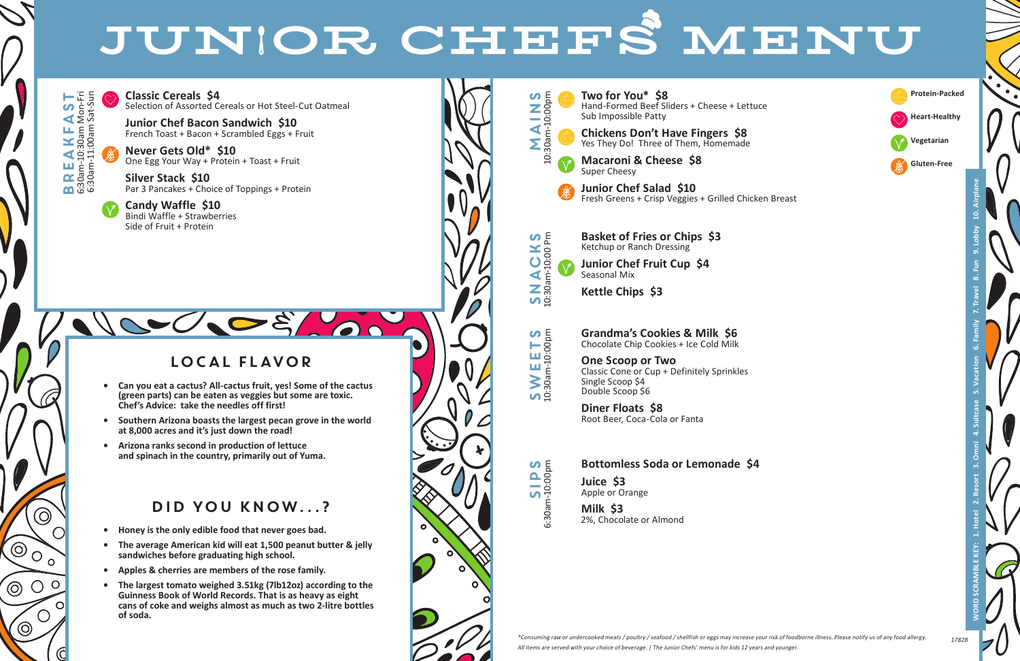

\*Consuming raw or undercooked meats / poultry / seafood / shellfish or eggs may increase your risk of foodborne illness. Please notify us of any food allergy. All items are served with your choice of beverage. | The Junior Chefs' menu is for kids 12 years and younger.



## LOCAL FLAVOR

- **• Can you eat a cactus? All-cactus fruit, yes! Some of the cactus (green parts) can be eaten as veggies but some are toxic. Chef's Advice: take the needles off first!**
- **• Southern Arizona boasts the largest pecan grove in the world at 8,000 acres and it's just down the road!**
- **• Arizona ranks second in production of lettuce and spinach in the country, primarily out of Yuma.**

S<br>Mains 10:30am-10:00pm

MAINS<br>10:30am-10:00pm

## DID YOU KNOW...?

SIPS<br>6:30am-10:00pm 6:30am-10:00pm

- **• Honey is the only edible food that never goes bad.**
- **• The average American kid will eat 1,500 peanut butter & jelly sandwiches before graduating high school.**
- **• Apples & cherries are members of the rose family.**
- **• The largest tomato weighed 3.51kg (7lb12oz) according to the Guinness Book of World Records. That is as heavy as eight cans of coke and weighs almost as much as two 2-litre bottles of soda.**



## JUNIOR CHEFS MENU



 $\widehat{\bigcirc}$ 

 $\circ$ 

 $O^{\circ}$ 

 $\bigcirc$ 

 $\overline{\bigcirc}$ 

 $\circledcirc$ 

 $\odot$ 

 $\mathcal{V}$ 

**Two for You\* \$8** Hand-Formed Beef Sliders + Cheese + Lettuce Sub Impossible Patty

**Chickens Don't Have Fingers \$8** Yes They Do! Three of Them, Homemade

**Macaroni & Cheese \$8** Super Cheesy

**Junior Chef Salad \$10** Fresh Greens + Crisp Veggies + Grilled Chicken Breast



**Basket of Fries or Chips \$3** Ketchup or Ranch Dressing

**Junior Chef Fruit Cup \$4** Seasonal Mix

**Kettle Chips \$3**



**Grandma's Cookies & Milk \$6** Chocolate Chip Cookies + Ice Cold Milk

**One Scoop or Two** Classic Cone or Cup + Definitely Sprinkles Single Scoop \$4 Double Scoop \$6

**Diner Floats \$8** Root Beer, Coca-Cola or Fanta

**Bottomless Soda or Lemonade \$4**

**Juice \$3** Apple or Orange

**Milk \$3** 2%, Chocolate or Almond

**Classic Cereals \$4** Selection of Assorted Cereals or Hot Steel-Cut Oatmeal

**Junior Chef Bacon Sandwich \$10** French Toast + Bacon + Scrambled Eggs + Fruit

**Never Gets Old\* \$10** One Egg Your Way + Protein + Toast + Fruit

**Silver Stack \$10** Par 3 Pancakes + Choice of Toppings + Protein



**Candy Waffle \$10** Bindi Waffle + Strawberries Side of Fruit + Protein